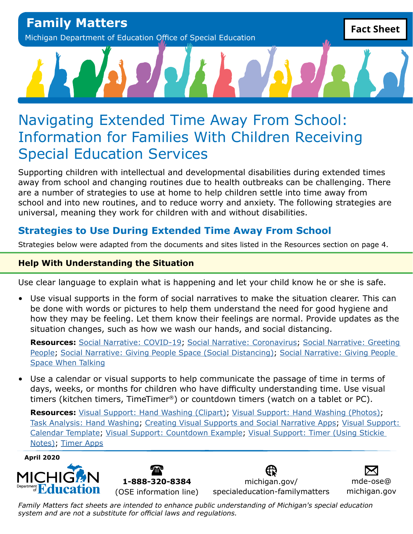# Navigating Extended Time Away From School: Information for Families With Children Receiving Special Education Services

Supporting children with intellectual and developmental disabilities during extended times away from school and changing routines due to health outbreaks can be challenging. There are a number of strategies to use at home to help children settle into time away from school and into new routines, and to reduce worry and anxiety. The following strategies are universal, meaning they work for children with and without disabilities.

# **Strategies to Use During Extended Time Away From School**

Strategies below were adapted from the documents and sites listed in the Resources section on page 4.

## **Help With Understanding the Situation**

Use clear language to explain what is happening and let your child know he or she is safe.

• Use visual supports in the form of social narratives to make the situation clearer. This can be done with words or pictures to help them understand the need for good hygiene and how they may be feeling. Let them know their feelings are normal. Provide updates as the situation changes, such as how we wash our hands, and social distancing.

**Resources:** [Social Narrative: COVID-19](https://afirm.fpg.unc.edu/sites/afirm.fpg.unc.edu/files/covid-resources/Support Understanding-COVID-19.pdf); [Social Narrative: Coronavirus](https://afirm.fpg.unc.edu/sites/afirm.fpg.unc.edu/files/covid-resources/Support Understanding-Coronavirus.pdf); [Social Narrative: Greeting](https://afirm.fpg.unc.edu/sites/afirm.fpg.unc.edu/files/covid-resources/Support Understanding-Greeting People.pdf) [People](https://afirm.fpg.unc.edu/sites/afirm.fpg.unc.edu/files/covid-resources/Support Understanding-Greeting People.pdf); [Social Narrative: Giving People Space \(Social Distancing\)](https://afirm.fpg.unc.edu/sites/afirm.fpg.unc.edu/files/covid-resources/Support Understanding-Giving People Space.pdf); [Social Narrative: Giving People](https://afirm.fpg.unc.edu/sites/afirm.fpg.unc.edu/files/covid-resources/Support Understanding-Giving People Space When Talking.pdf) [Space When Talking](https://afirm.fpg.unc.edu/sites/afirm.fpg.unc.edu/files/covid-resources/Support Understanding-Giving People Space When Talking.pdf)

• Use a calendar or visual supports to help communicate the passage of time in terms of days, weeks, or months for children who have difficulty understanding time. Use visual timers (kitchen timers, TimeTimer®) or countdown timers (watch on a tablet or PC).

**Resources:** [Visual Support: Hand Washing \(Clipart\)](https://afirm.fpg.unc.edu/sites/afirm.fpg.unc.edu/files/covid-resources/Support Understanding-Handwashing %28Clipart%29.pdf); [Visual Support: Hand Washing \(Photos\);](https://afirm.fpg.unc.edu/sites/afirm.fpg.unc.edu/files/covid-resources/Support Understanding-Handwashing %28Photos%29.pdf) [Task Analysis: Hand Washing](https://afirm.fpg.unc.edu/sites/afirm.fpg.unc.edu/files/covid-resources/Support Understanding-Handwashing.pdf); [Creating Visual Supports and Social Narrative Apps](https://afirm.fpg.unc.edu/sites/afirm.fpg.unc.edu/files/covid-resources/Support Understanding-Creating VS and SN Apps.pdf); [Visual Support:](https://afirm.fpg.unc.edu/sites/afirm.fpg.unc.edu/files/covid-resources/Support Understanding-Calendar Template.pdf) [Calendar Template](https://afirm.fpg.unc.edu/sites/afirm.fpg.unc.edu/files/covid-resources/Support Understanding-Calendar Template.pdf); [Visual Support: Countdown Example;](https://afirm.fpg.unc.edu/sites/afirm.fpg.unc.edu/files/covid-resources/Support Understanding-Countdown Example.pdf) [Visual Support: Timer \(Using Stickie](https://afirm.fpg.unc.edu/sites/afirm.fpg.unc.edu/files/covid-resources/Support Understanding-Timer using Stickie Notes.pdf) [Notes\);](https://afirm.fpg.unc.edu/sites/afirm.fpg.unc.edu/files/covid-resources/Support Understanding-Timer using Stickie Notes.pdf) [Timer Apps](https://afirm.fpg.unc.edu/sites/afirm.fpg.unc.edu/files/covid-resources/Support Understanding-Timer Apps.pdf)

**April 2020**





[michigan.gov/](http://michigan.gov/specialeducation-familymatters) [specialeducation-familymatters](http://michigan.gov/specialeducation-familymatters)

[mde-ose@](mailto:mde-ose%40michigan.gov?subject=) [michigan.gov](mailto:mde-ose%40michigan.gov?subject=)

*Family Matters fact sheets are intended to enhance public understanding of Michigan's special education system and are not a substitute for official laws and regulations.*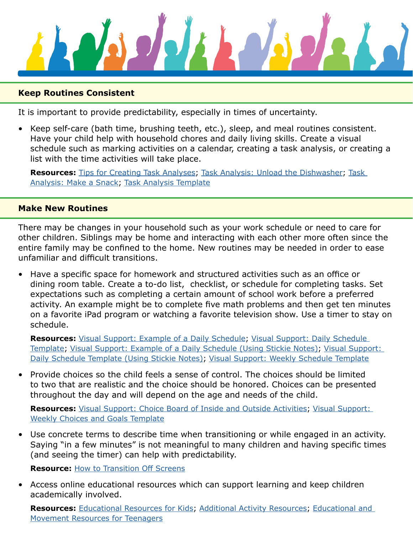

#### **Keep Routines Consistent**

It is important to provide predictability, especially in times of uncertainty.

• Keep self-care (bath time, brushing teeth, etc.), sleep, and meal routines consistent. Have your child help with household chores and daily living skills. Create a visual schedule such as marking activities on a calendar, creating a task analysis, or creating a list with the time activities will take place.

**Resources:** [Tips for Creating Task Analyses;](https://afirm.fpg.unc.edu/sites/afirm.fpg.unc.edu/files/covid-resources/Maintain Routines-Tips for Creating TA.pdf) [Task Analysis: Unload the Dishwasher](https://afirm.fpg.unc.edu/sites/afirm.fpg.unc.edu/files/covid-resources/Maintain Routines-Unload the Dishwasher.pdf); [Task](https://afirm.fpg.unc.edu/sites/afirm.fpg.unc.edu/files/covid-resources/Maintain Routines-Make a Snack.pdf)  [Analysis: Make a Snack](https://afirm.fpg.unc.edu/sites/afirm.fpg.unc.edu/files/covid-resources/Maintain Routines-Make a Snack.pdf); [Task Analysis Template](https://afirm.fpg.unc.edu/sites/afirm.fpg.unc.edu/files/covid-resources/Maintain Routines-Task Analysis Template.pdf)

#### **Make New Routines**

There may be changes in your household such as your work schedule or need to care for other children. Siblings may be home and interacting with each other more often since the entire family may be confined to the home. New routines may be needed in order to ease unfamiliar and difficult transitions.

• Have a specific space for homework and structured activities such as an office or dining room table. Create a to-do list, checklist, or schedule for completing tasks. Set expectations such as completing a certain amount of school work before a preferred activity. An example might be to complete five math problems and then get ten minutes on a favorite iPad program or watching a favorite television show. Use a timer to stay on schedule.

**Resources:** [Visual Support: Example of a Daily Schedule;](https://afirm.fpg.unc.edu/sites/afirm.fpg.unc.edu/files/covid-resources/Build%20New%20Routines-Daily%20Schedule%20Example.pdf) [Visual Support: Daily Schedule](https://afirm.fpg.unc.edu/sites/afirm.fpg.unc.edu/files/covid-resources/Build New Routines-Daily Schedule Template.pdf) [Template](https://afirm.fpg.unc.edu/sites/afirm.fpg.unc.edu/files/covid-resources/Build New Routines-Daily Schedule Template.pdf); [Visual Support: Example of a Daily Schedule \(Using Stickie Notes\);](https://afirm.fpg.unc.edu/sites/afirm.fpg.unc.edu/files/covid-resources/Build New Routines-Daily Schedule Example Using Stickie Notes.pdf) [Visual Support:](https://afirm.fpg.unc.edu/sites/afirm.fpg.unc.edu/files/covid-resources/Build New Routines-Daily Schedule Template Using Stickie Notes.pdf)  [Daily Schedule Template \(Using Stickie Notes\)](https://afirm.fpg.unc.edu/sites/afirm.fpg.unc.edu/files/covid-resources/Build New Routines-Daily Schedule Template Using Stickie Notes.pdf); [Visual Support: Weekly Schedule Template](https://afirm.fpg.unc.edu/sites/afirm.fpg.unc.edu/files/covid-resources/Build New Routines-Weekly Schedule Template.pdf)

• Provide choices so the child feels a sense of control. The choices should be limited to two that are realistic and the choice should be honored. Choices can be presented throughout the day and will depend on the age and needs of the child.

**Resources:** [Visual Support: Choice Board of Inside and Outside Activities](https://afirm.fpg.unc.edu/sites/afirm.fpg.unc.edu/files/covid-resources/Build New Routines-Inside and Outside Activities.pdf); [Visual Support:](https://afirm.fpg.unc.edu/sites/afirm.fpg.unc.edu/files/covid-resources/Build New Routines-Weekly Choices and Goals.pdf)  [Weekly Choices and Goals Template](https://afirm.fpg.unc.edu/sites/afirm.fpg.unc.edu/files/covid-resources/Build New Routines-Weekly Choices and Goals.pdf)

• Use concrete terms to describe time when transitioning or while engaged in an activity. Saying "in a few minutes" is not meaningful to many children and having specific times (and seeing the timer) can help with predictability.

**Resource:** [How to Transition Off Screens](https://afirm.fpg.unc.edu/sites/afirm.fpg.unc.edu/files/covid-resources/Build New Routines-How to Transition Off Screens.pdf)

• Access online educational resources which can support learning and keep children academically involved.

**Resources:** [Educational Resources for Kids;](https://afirm.fpg.unc.edu/sites/afirm.fpg.unc.edu/files/covid-resources/Build New Routines-Educational Resources for Kids.pdf) [Additional Activity Resources](https://afirm.fpg.unc.edu/sites/afirm.fpg.unc.edu/files/covid-resources/Build New Routines-Additional Activity Resources.pdf); [Educational and](https://afirm.fpg.unc.edu/sites/afirm.fpg.unc.edu/files/covid-resources/Build New Routines-Educational and Movement Resources for Teenagers.pdf)  [Movement Resources for Teenagers](https://afirm.fpg.unc.edu/sites/afirm.fpg.unc.edu/files/covid-resources/Build New Routines-Educational and Movement Resources for Teenagers.pdf)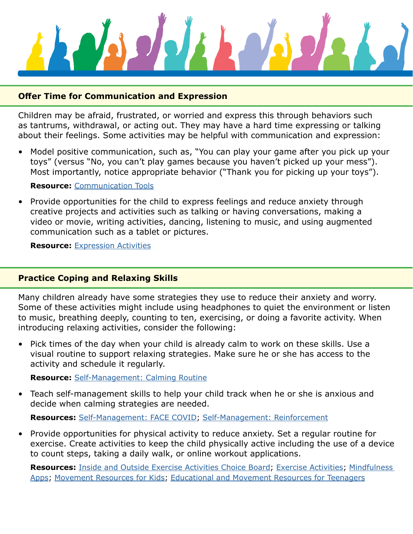

#### **Offer Time for Communication and Expression**

Children may be afraid, frustrated, or worried and express this through behaviors such as tantrums, withdrawal, or acting out. They may have a hard time expressing or talking about their feelings. Some activities may be helpful with communication and expression:

• Model positive communication, such as, "You can play your game after you pick up your toys" (versus "No, you can't play games because you haven't picked up your mess"). Most importantly, notice appropriate behavior ("Thank you for picking up your toys").

#### **Resource:** [Communication Tools](https://afirm.fpg.unc.edu/sites/afirm.fpg.unc.edu/files/covid-resources/Offer Opportunities for Expression-Communication Tools.pdf)

• Provide opportunities for the child to express feelings and reduce anxiety through creative projects and activities such as talking or having conversations, making a video or movie, writing activities, dancing, listening to music, and using augmented communication such as a tablet or pictures.

**Resource:** [Expression Activities](https://afirm.fpg.unc.edu/sites/afirm.fpg.unc.edu/files/covid-resources/Offer Opportunities for Expression-Activities.pdf)

#### **Practice Coping and Relaxing Skills**

Many children already have some strategies they use to reduce their anxiety and worry. Some of these activities might include using headphones to quiet the environment or listen to music, breathing deeply, counting to ten, exercising, or doing a favorite activity. When introducing relaxing activities, consider the following:

• Pick times of the day when your child is already calm to work on these skills. Use a visual routine to support relaxing strategies. Make sure he or she has access to the activity and schedule it regularly.

**Resource:** [Self-Management: Calming Routine](https://afirm.fpg.unc.edu/sites/afirm.fpg.unc.edu/files/covid-resources/Prioritize Coping and Calming Skills-Calming Routine.pdf)

• Teach self-management skills to help your child track when he or she is anxious and decide when calming strategies are needed.

**Resources:** [Self-Management: FACE COVID;](https://afirm.fpg.unc.edu/sites/afirm.fpg.unc.edu/files/covid-resources/Prioritize Coping and Calming Skills-FACE COVID.pdf) [Self-Management: Reinforcement](https://afirm.fpg.unc.edu/sites/afirm.fpg.unc.edu/files/covid-resources/Prioritize Coping and Calming Skills-Self-Management.pdf)

• Provide opportunities for physical activity to reduce anxiety. Set a regular routine for exercise. Create activities to keep the child physically active including the use of a device to count steps, taking a daily walk, or online workout applications.

**Resources:** [Inside and Outside Exercise Activities Choice Board;](https://afirm.fpg.unc.edu/sites/afirm.fpg.unc.edu/files/covid-resources/Prioritize Coping and Calming Skills-Exercise Choice Board.pdf) [Exercise Activities;](https://afirm.fpg.unc.edu/sites/afirm.fpg.unc.edu/files/covid-resources/Prioritize Coping and Calming Skills-Exercise Activities.pdf) [Mindfulness](https://afirm.fpg.unc.edu/sites/afirm.fpg.unc.edu/files/covid-resources/Prioritize Coping and Calming Skills-Mindfulness Apps.pdf)  [Apps;](https://afirm.fpg.unc.edu/sites/afirm.fpg.unc.edu/files/covid-resources/Prioritize Coping and Calming Skills-Mindfulness Apps.pdf) [Movement Resources for Kids](https://afirm.fpg.unc.edu/sites/afirm.fpg.unc.edu/files/covid-resources/Build New Routines-Movement Resources for Kids.pdf); [Educational and Movement Resources for Teenagers](https://afirm.fpg.unc.edu/sites/afirm.fpg.unc.edu/files/covid-resources/Build New Routines-Educational and Movement Resources for Teenagers.pdf)